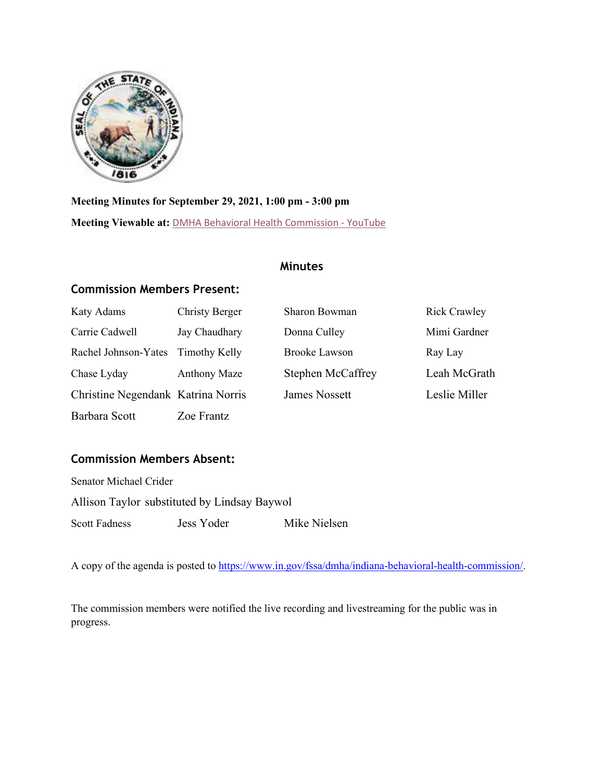

# Indiana Behavioral Health Commission

https://www.in.gov/fssa/dmha/indiana-behavioral-health-commission/

**Meeting Minutes for September 29, 2021, 1:00 pm - 3:00 pm** 

**Meeting viewable at:** [DMHA Behavioral Health Comm](https://www.youtube.com/watch?v=FusvEP9ipj4)ission - YouTube

## **Minutes**

## **Commission Members Present:**

| Katy Adams                         | <b>Christy Berger</b> | Sharon Bowman            | <b>Rick Crawley</b> |
|------------------------------------|-----------------------|--------------------------|---------------------|
| Carrie Cadwell                     | Jay Chaudhary         | Donna Culley             | Mimi Gardner        |
| Rachel Johnson-Yates Timothy Kelly |                       | <b>Brooke Lawson</b>     | Ray Lay             |
| Chase Lyday                        | <b>Anthony Maze</b>   | <b>Stephen McCaffrey</b> | Leah McGrath        |
| Christine Negendank Katrina Norris |                       | <b>James Nossett</b>     | Leslie Miller       |
| Barbara Scott                      | Zoe Frantz            |                          |                     |

## **Commission Members Absent:**

| Senator Michael Crider |                                              |              |
|------------------------|----------------------------------------------|--------------|
|                        | Allison Taylor substituted by Lindsay Baywol |              |
| Scott Fadness          | Jess Yoder                                   | Mike Nielsen |

A copy of the agenda is posted to [https://www.in.gov/fssa/dmha/indiana-behavioral-health-commission/.](https://www.in.gov/fssa/dmha/indiana-behavioral-health-commission/)

The commission members were notified the live recording and livestreaming for the public was in progress.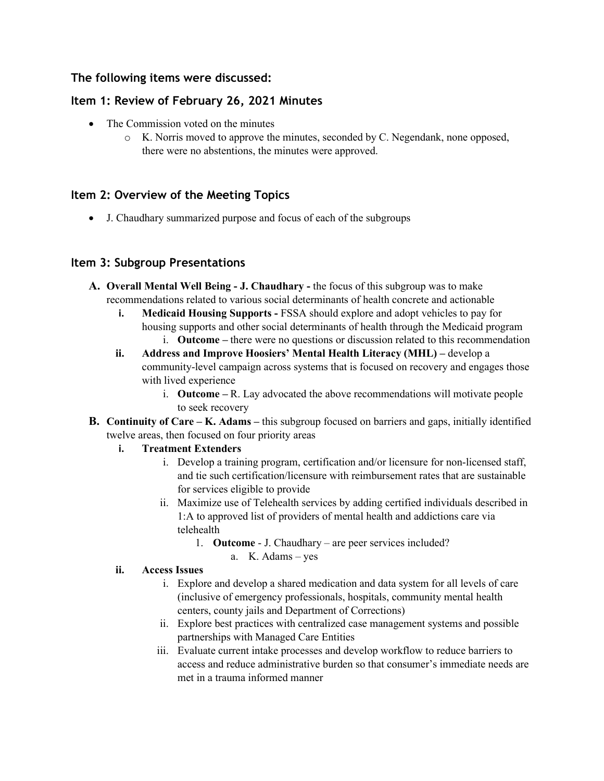## **The following items were discussed:**

#### **Item 1: Review of February 26, 2021 Minutes**

- The Commission voted on the minutes
	- o K. Norris moved to approve the minutes, seconded by C. Negendank, none opposed, there were no abstentions, the minutes were approved

## **Item 2: Overview of the Meeting Topics**

• J. Chaudhary summarized purpose and focus of each of the subgroups

## **Item 3: Subgroup Presentations**

- **A. Overall Mental Well Being J. Chaudhary** the focus of this subgroup was to make recommendations related to various social determinants of health concrete and actionable
	- **i. Medicaid Housing Supports -** FSSA should explore and adopt vehicles to pay for housing supports and other social determinants of health through the Medicaid program i. **Outcome –** there were no questions or discussion related to this recommendation
	- **ii. Address and Improve Hoosiers' Mental Health Literacy (MHL)** develop a community-level campaign across systems that is focused on recovery and engages those with lived experience
		- i. **Outcome –** R. Lay advocated the above recommendations will motivate people to seek recovery
- **B. Continuity of Care K. Adams** this subgroup focused on barriers and gaps, initially identified twelve areas, then focused on four priority areas

#### **i. Treatment Extenders**

- i. Develop a training program, certification and/or licensure for non-licensed staff, and tie such certification/licensure with reimbursement rates that are sustainable for services eligible to provide
- ii. Maximize use of Telehealth services by adding certified individuals described in 1:A to approved list of providers of mental health and addictions care via telehealth
	- 1. **Outcome** J. Chaudhary are peer services included?
		- a. K. Adams yes

#### **ii. Access Issues**

- i. Explore and develop a shared medication and data system for all levels of care (inclusive of emergency professionals, hospitals, community mental health centers, county jails and Department of Corrections)
- ii. Explore best practices with centralized case management systems and possible partnerships with Managed Care Entities
- iii. Evaluate current intake processes and develop workflow to reduce barriers to access and reduce administrative burden so that consumer's immediate needs are met in a trauma informed manner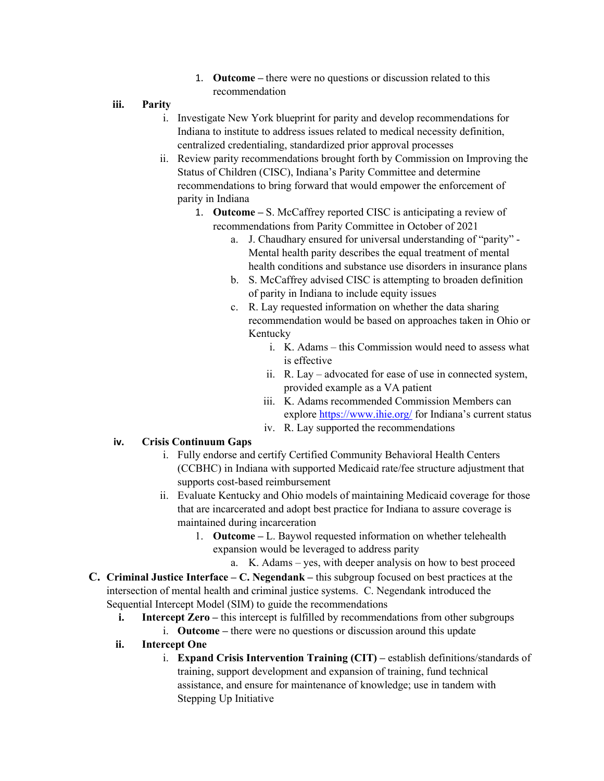- 1. **Outcome –** there were no questions or discussion related to this recommendation
- **iii. Parity**
	- i. Investigate New York blueprint for parity and develop recommendations for Indiana to institute to address issues related to medical necessity definition, centralized credentialing, standardized prior approval processes
	- ii. Review parity recommendations brought forth by Commission on Improving the Status of Children (CISC), Indiana's Parity Committee and determine recommendations to bring forward that would empower the enforcement of parity in Indiana
		- 1. **Outcome –** S. McCaffrey reported CISC is anticipating a review of recommendations from Parity Committee in October of 2021
			- a. J. Chaudhary ensured for universal understanding of "parity" Mental health parity describes the equal treatment of mental health conditions and substance use disorders in insurance plans
			- b. S. McCaffrey advised CISC is attempting to broaden definition of parity in Indiana to include equity issues
			- c. R. Lay requested information on whether the data sharing recommendation would be based on approaches taken in Ohio or Kentucky
				- i. K. Adams this Commission would need to assess what is effective
				- ii. R. Lay advocated for ease of use in connected system, provided example as a VA patient
				- iii. K. Adams recommended Commission Members can explor[e https://www.ihie.org/](https://www.ihie.org/) for Indiana's current status
				- iv. R. Lay supported the recommendations

#### **iv. Crisis Continuum Gaps**

- i. Fully endorse and certify Certified Community Behavioral Health Centers (CCBHC) in Indiana with supported Medicaid rate/fee structure adjustment that supports cost-based reimbursement
- ii. Evaluate Kentucky and Ohio models of maintaining Medicaid coverage for those that are incarcerated and adopt best practice for Indiana to assure coverage is maintained during incarceration
	- 1. **Outcome** L. Baywol requested information on whether telehealth expansion would be leveraged to address parity
		- a. K. Adams yes, with deeper analysis on how to best proceed
- **C. Criminal Justice Interface C. Negendank** this subgroup focused on best practices at the intersection of mental health and criminal justice systems. C. Negendank introduced the Sequential Intercept Model (SIM) to guide the recommendations
	- **i. Intercept Zero** this intercept is fulfilled by recommendations from other subgroups
		- i. **Outcome** there were no questions or discussion around this update
	- **ii. Intercept One**
		- i. **Expand Crisis Intervention Training (CIT)** establish definitions/standards of training, support development and expansion of training, fund technical assistance, and ensure for maintenance of knowledge; use in tandem with Stepping Up Initiative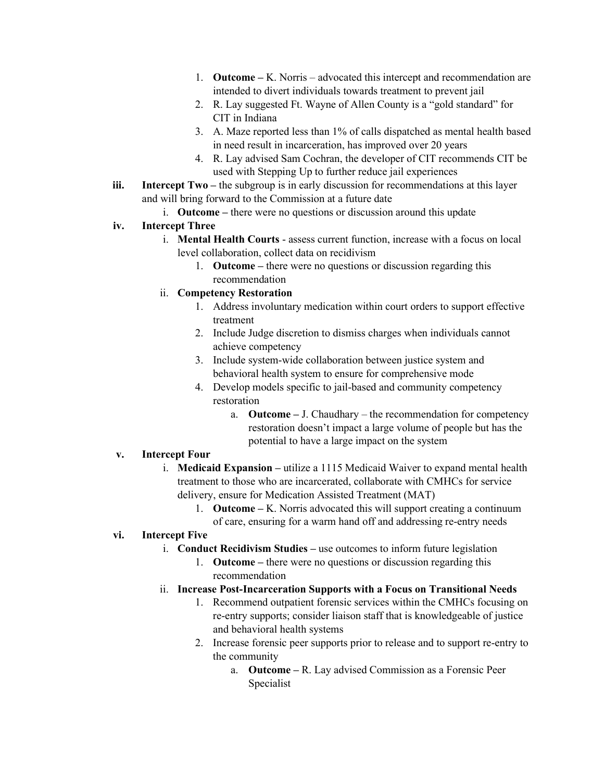- 1. **Outcome** K. Norris advocated this intercept and recommendation are intended to divert individuals towards treatment to prevent jail
- 2. R. Lay suggested Ft. Wayne of Allen County is a "gold standard" for CIT in Indiana
- 3. A. Maze reported less than 1% of calls dispatched as mental health based in need result in incarceration, has improved over 20 years
- 4. R. Lay advised Sam Cochran, the developer of CIT recommends CIT be used with Stepping Up to further reduce jail experiences
- **iii.** Intercept Two the subgroup is in early discussion for recommendations at this layer and will bring forward to the Commission at a future date
	- i. **Outcome** there were no questions or discussion around this update

#### **iv. Intercept Three**

- i. **Mental Health Courts**  assess current function, increase with a focus on local level collaboration, collect data on recidivism
	- 1. **Outcome** there were no questions or discussion regarding this recommendation

#### ii. **Competency Restoration**

- 1. Address involuntary medication within court orders to support effective treatment
- 2. Include Judge discretion to dismiss charges when individuals cannot achieve competency
- 3. Include system-wide collaboration between justice system and behavioral health system to ensure for comprehensive mode
- 4. Develop models specific to jail-based and community competency restoration
	- a. **Outcome** J. Chaudhary the recommendation for competency restoration doesn't impact a large volume of people but has the potential to have a large impact on the system

#### **v. Intercept Four**

- i. **Medicaid Expansion** utilize a 1115 Medicaid Waiver to expand mental health treatment to those who are incarcerated, collaborate with CMHCs for service delivery, ensure for Medication Assisted Treatment (MAT)
	- 1. **Outcome** K. Norris advocated this will support creating a continuum of care, ensuring for a warm hand off and addressing re-entry needs

#### **vi. Intercept Five**

- i. **Conduct Recidivism Studies** use outcomes to inform future legislation
	- 1. **Outcome** there were no questions or discussion regarding this recommendation

#### ii. **Increase Post-Incarceration Supports with a Focus on Transitional Needs**

- 1. Recommend outpatient forensic services within the CMHCs focusing on re-entry supports; consider liaison staff that is knowledgeable of justice and behavioral health systems
- 2. Increase forensic peer supports prior to release and to support re-entry to the community
	- a. **Outcome** R. Lay advised Commission as a Forensic Peer Specialist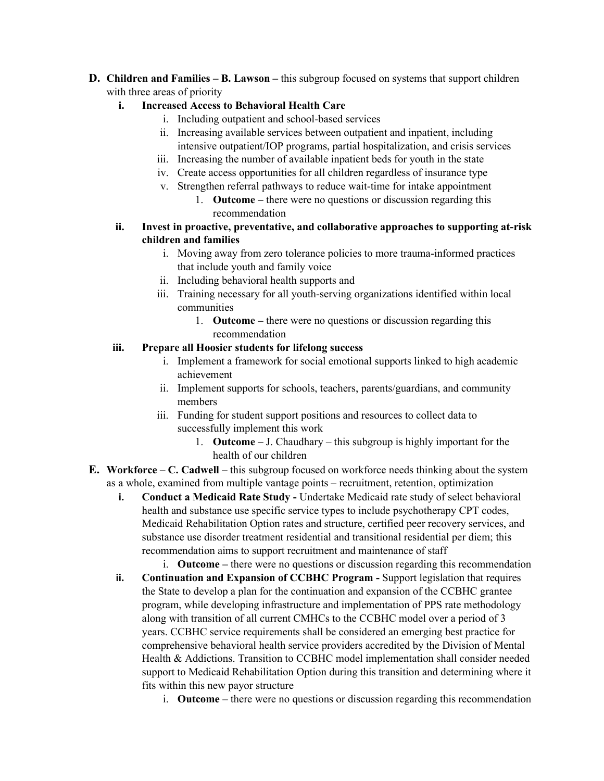**D. Children and Families – B. Lawson –** this subgroup focused on systems that support children with three areas of priority

#### **i. Increased Access to Behavioral Health Care**

- i. Including outpatient and school-based services
- ii. Increasing available services between outpatient and inpatient, including intensive outpatient/IOP programs, partial hospitalization, and crisis services
- iii. Increasing the number of available inpatient beds for youth in the state
- iv. Create access opportunities for all children regardless of insurance type
- v. Strengthen referral pathways to reduce wait-time for intake appointment
	- 1. **Outcome** there were no questions or discussion regarding this recommendation
- **ii. Invest in proactive, preventative, and collaborative approaches to supporting at-risk children and families**
	- i. Moving away from zero tolerance policies to more trauma-informed practices that include youth and family voice
	- ii. Including behavioral health supports and
	- iii. Training necessary for all youth-serving organizations identified within local communities
		- 1. **Outcome** there were no questions or discussion regarding this recommendation

#### **iii. Prepare all Hoosier students for lifelong success**

- i. Implement a framework for social emotional supports linked to high academic achievement
- ii. Implement supports for schools, teachers, parents/guardians, and community members
- iii. Funding for student support positions and resources to collect data to successfully implement this work
	- 1. **Outcome** J. Chaudhary this subgroup is highly important for the health of our children
- **E. Workforce C. Cadwell** this subgroup focused on workforce needs thinking about the system as a whole, examined from multiple vantage points – recruitment, retention, optimization
	- **i. Conduct a Medicaid Rate Study Undertake Medicaid rate study of select behavioral** health and substance use specific service types to include psychotherapy CPT codes, Medicaid Rehabilitation Option rates and structure, certified peer recovery services, and substance use disorder treatment residential and transitional residential per diem; this recommendation aims to support recruitment and maintenance of staff
		- i. **Outcome** there were no questions or discussion regarding this recommendation
	- **ii.** Continuation and Expansion of CCBHC Program Support legislation that requires the State to develop a plan for the continuation and expansion of the CCBHC grantee program, while developing infrastructure and implementation of PPS rate methodology along with transition of all current CMHCs to the CCBHC model over a period of 3 years. CCBHC service requirements shall be considered an emerging best practice for comprehensive behavioral health service providers accredited by the Division of Mental Health & Addictions. Transition to CCBHC model implementation shall consider needed support to Medicaid Rehabilitation Option during this transition and determining where it fits within this new payor structure
		- i. **Outcome** there were no questions or discussion regarding this recommendation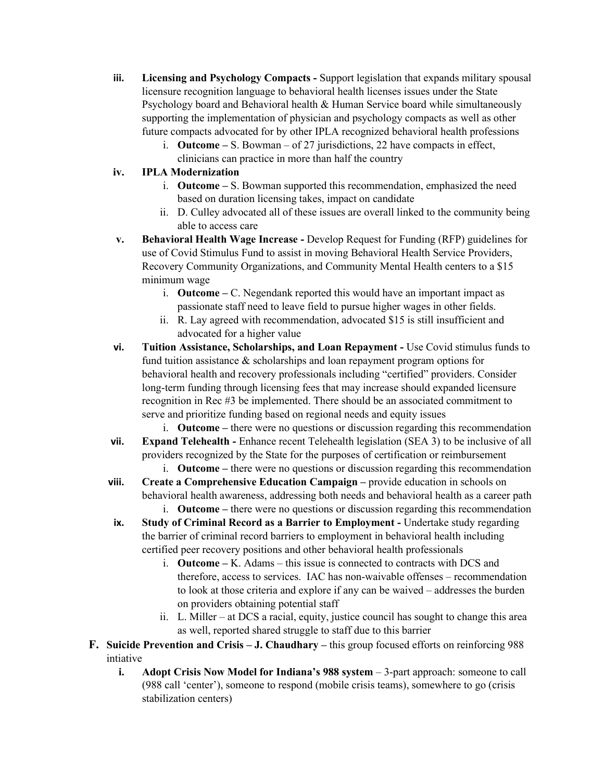- **iii. Licensing and Psychology Compacts** Support legislation that expands military spousal licensure recognition language to behavioral health licenses issues under the State Psychology board and Behavioral health & Human Service board while simultaneously supporting the implementation of physician and psychology compacts as well as other future compacts advocated for by other IPLA recognized behavioral health professions
	- i. **Outcome** S. Bowman of 27 jurisdictions, 22 have compacts in effect, clinicians can practice in more than half the country

#### **iv. IPLA Modernization**

- i. **Outcome** S. Bowman supported this recommendation, emphasized the need based on duration licensing takes, impact on candidate
- ii. D. Culley advocated all of these issues are overall linked to the community being able to access care
- **v. Behavioral Health Wage Increase** Develop Request for Funding (RFP) guidelines for use of Covid Stimulus Fund to assist in moving Behavioral Health Service Providers, Recovery Community Organizations, and Community Mental Health centers to a \$15 minimum wage
	- i. **Outcome** C. Negendank reported this would have an important impact as passionate staff need to leave field to pursue higher wages in other fields.
	- ii. R. Lay agreed with recommendation, advocated \$15 is still insufficient and advocated for a higher value
- **vi. Tuition Assistance, Scholarships, and Loan Repayment** Use Covid stimulus funds to fund tuition assistance & scholarships and loan repayment program options for behavioral health and recovery professionals including "certified" providers. Consider long-term funding through licensing fees that may increase should expanded licensure recognition in Rec #3 be implemented. There should be an associated commitment to serve and prioritize funding based on regional needs and equity issues
	- i. **Outcome** there were no questions or discussion regarding this recommendation
- **vii. Expand Telehealth** Enhance recent Telehealth legislation (SEA 3) to be inclusive of all providers recognized by the State for the purposes of certification or reimbursement
	- i. **Outcome** there were no questions or discussion regarding this recommendation
- **viii. Create a Comprehensive Education Campaign** provide education in schools on behavioral health awareness, addressing both needs and behavioral health as a career path
	- i. **Outcome** there were no questions or discussion regarding this recommendation
- **ix.** Study of Criminal Record as a Barrier to Employment Undertake study regarding the barrier of criminal record barriers to employment in behavioral health including certified peer recovery positions and other behavioral health professionals
	- i. **Outcome** K. Adams this issue is connected to contracts with DCS and therefore, access to services. IAC has non-waivable offenses – recommendation to look at those criteria and explore if any can be waived – addresses the burden on providers obtaining potential staff
	- ii. L. Miller at DCS a racial, equity, justice council has sought to change this area as well, reported shared struggle to staff due to this barrier
- **F. Suicide Prevention and Crisis J. Chaudhary** this group focused efforts on reinforcing 988 intiative
	- **i. Adopt Crisis Now Model for Indiana's 988 system** 3-part approach: someone to call (988 call 'center'), someone to respond (mobile crisis teams), somewhere to go (crisis stabilization centers)